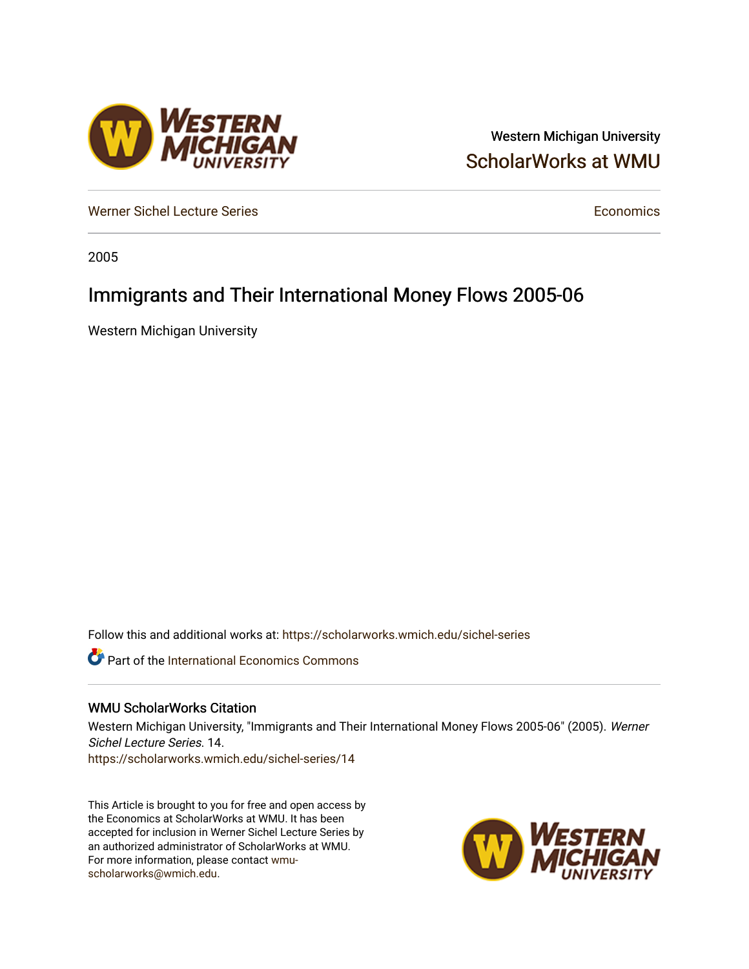## Western Michigan University [ScholarWorks at WMU](https://scholarworks.wmich.edu/)

[Werner Sichel Lecture Series](https://scholarworks.wmich.edu/sichel-series) **Economics** [Economics](https://scholarworks.wmich.edu/economics) **Economics** 

2005

# Immigrants and Their International Money Flows 2005-06

Western Michigan University

Follow this and additional works at: [https://scholarworks.wmich.edu/sichel-series](https://scholarworks.wmich.edu/sichel-series?utm_source=scholarworks.wmich.edu%2Fsichel-series%2F14&utm_medium=PDF&utm_campaign=PDFCoverPages) 

**Part of the International Economics Commons** 

### WMU ScholarWorks Citation

Western Michigan University, "Immigrants and Their International Money Flows 2005-06" (2005). Werner Sichel Lecture Series. 14. [https://scholarworks.wmich.edu/sichel-series/14](https://scholarworks.wmich.edu/sichel-series/14?utm_source=scholarworks.wmich.edu%2Fsichel-series%2F14&utm_medium=PDF&utm_campaign=PDFCoverPages)

This Article is brought to you for free and open access by the Economics at ScholarWorks at WMU. It has been accepted for inclusion in Werner Sichel Lecture Series by an authorized administrator of ScholarWorks at WMU. For more information, please contact [wmu](mailto:wmu-scholarworks@wmich.edu)[scholarworks@wmich.edu.](mailto:wmu-scholarworks@wmich.edu)



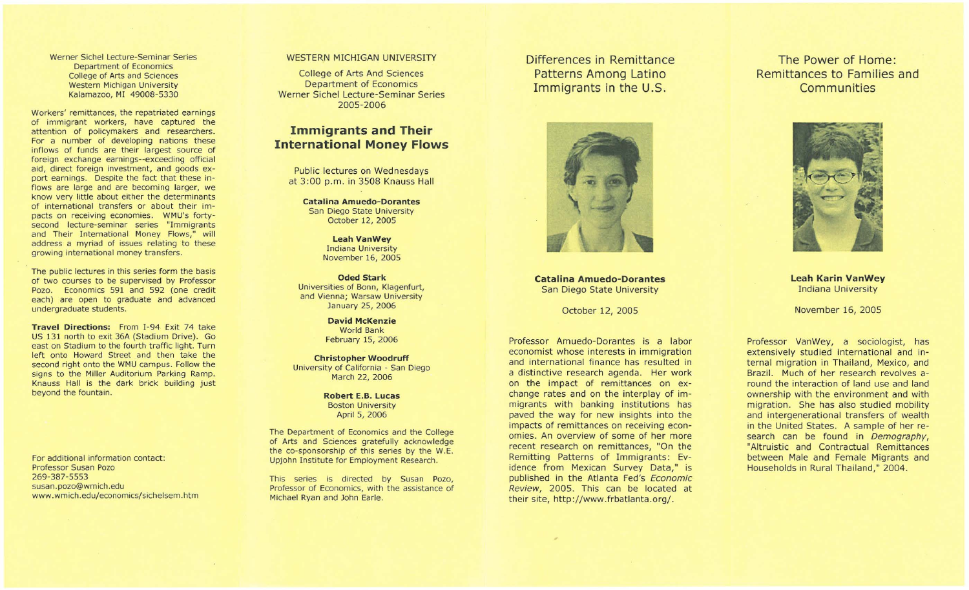Werner Sichel Lecture-Seminar Series Department of Economics College of Arts and Sciences Western Michigan University Kalamazoo, MI 49008-5330

Workers' remittances, the repatriated earnings of immigrant workers, have captured the attention of policymakers and researchers. For a number of developing nations these inflows of funds are their largest source of foreign exchange earnings--exceeding official aid, direct foreign investment, and goods export earnings. Despite the fact that these inflows are large and are becoming larger, we know very little about either the determinants of international transfers or about their impacts on receiving economies. WMU's fortysecond lecture-seminar series "Immigrants and Their International Money Flows," will address a myriad of issues relating to these growing international money transfers.

The public lectures in this series form the basis of two courses to be supervised by Professor Pozo. Economics 591 and 592 (one credit each) are open to graduate and advanced undergraduate students.

Travel Directions: From I-94 Exit 74 take US 131 north to exit 36A (Stadium Drive). Go east on Stadium to the fourth traffic light. Turn left onto Howard Street and then take the second right onto the WMU campus. Follow the signs to the Miller Auditorium Parking Ramp. Knauss Hall is the dark brick building just beyond the fountain.

For additional information contact: Professor Susan Pozo 269-387-5553 susan.pozo@wmich.edu www.wmich.edu/economics/sichelsem.htm

#### WESTERN MICHIGAN UNIVERSITY

College of Arts And Sciences Department of Economics Werner Sichel Lecture-Seminar Series 2005-2006

### **Immigrants and Their International Money Flows**

Public lectures on Wednesdays at 3:00 p.m. in 3508 Knauss Hall

Catalina Amuedo-Dorantes San Diego State University October 12, 2005

> Leah Vanwey Indiana University November 16, 2005

Oded Stark Universities of Bonn, Klagenfurt, and Vienna; Warsaw University January 25, 2006

> David McKenzie World Bank February 15, 2006

Christopher Woodruff University of California - San Diego March 22, 2006

> Robert E.B. Lucas Boston University April 5, 2006

The Department of Economics and the College of Arts and Sciences gratefully acknowledge the co-sponsorship of this series by the W.E. Upjohn Institute for Employment Research.

This series is directed by Susan Pozo, Professor of Economics, with the assistance of Michael Ryan and John Earle.

Differences in Remittance Patterns Among Latino Immigrants in the U.S.



Catalina Amuedo-Dorantes San Diego State University

October 12, 2005

Professor Amuedo-Dorantes is a labor economist whose interests in immigration and international finance has resulted in a distinctive research agenda. Her work on the impact of remittances on exchange rates and on the interplay of immigrants with banking institutions has paved the way for new insights into the impacts of remittances on receiving economies. An overview of some of her more recent research on remittances, "On the Remitting Patterns of Immigrants: Evidence from Mexican Survey Data," is published in the Atlanta Fed's Economic Review, 2005. This can be located at their site, http://www.frbatlanta.org/.

The Power of Home: Remittances to Families and **Communities** 



Leah Karin Vanwey Indiana University

November 16, 2005

Professor VanWey, a sociologist, has extensively studied international and internal migration in Thailand, Mexico, and Brazil. Much of her research revolves around the interaction of land use and land ownership with the environment and with migration. She has also studied mobility and intergenerational transfers of wealth in the United States. A sample of her research can be found in Demography, "Altruistic and Contractual Remittances between Male and Female Migrants and Households in Rural Thailand," 2004.